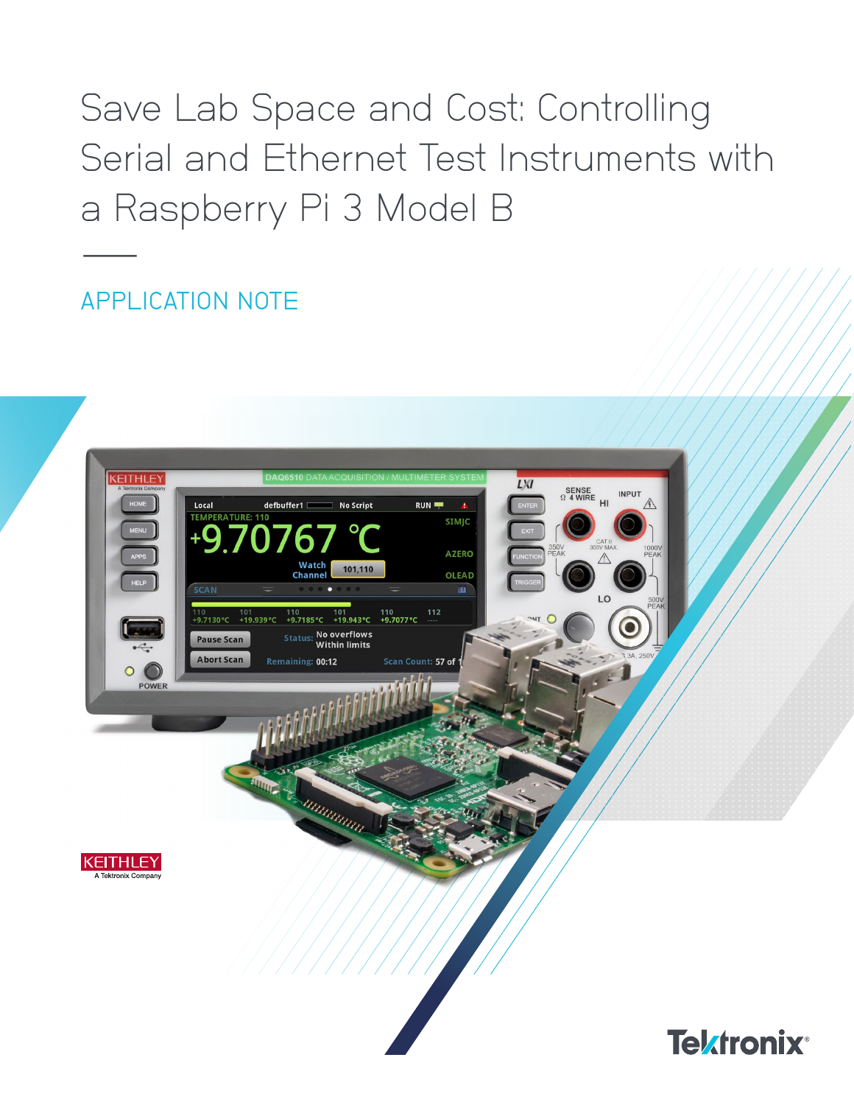# Save Lab Space and Cost: Controlling Serial and Ethernet Test Instruments with a Raspberry Pi 3 Model B ––

## APPLICATION NOTE

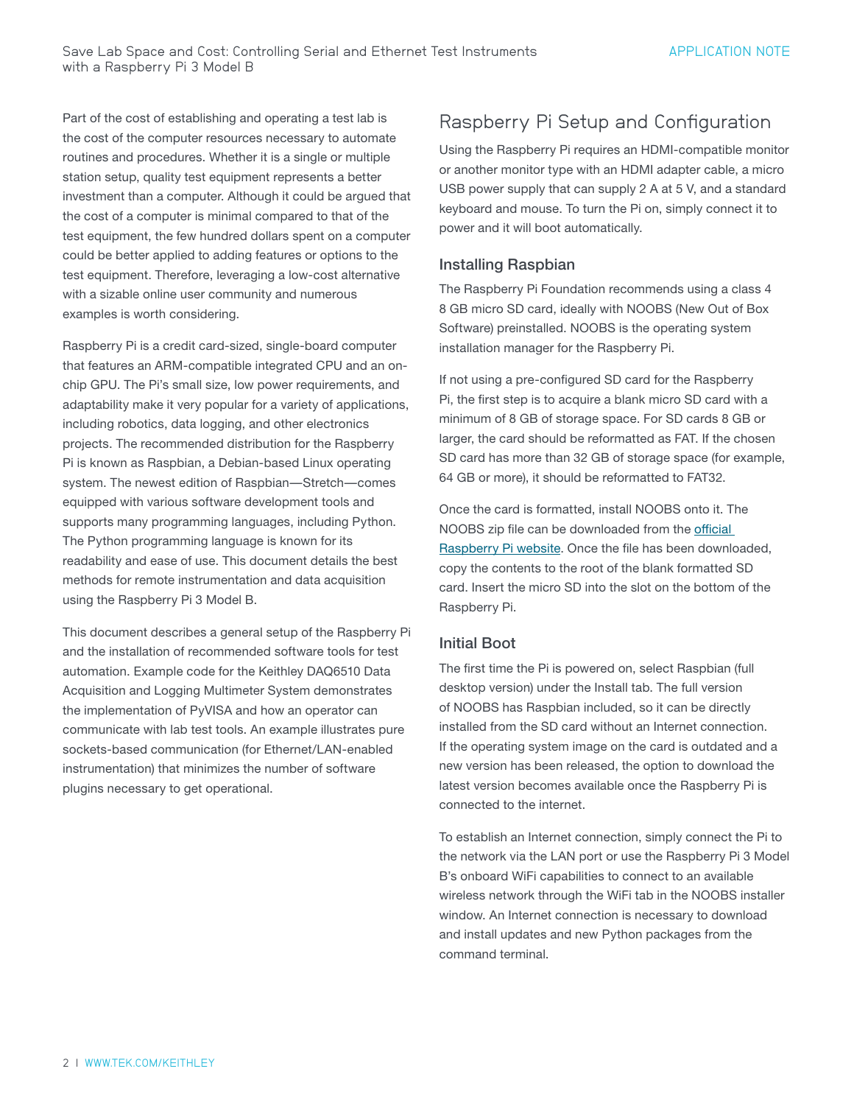Part of the cost of establishing and operating a test lab is the cost of the computer resources necessary to automate routines and procedures. Whether it is a single or multiple station setup, quality test equipment represents a better investment than a computer. Although it could be argued that the cost of a computer is minimal compared to that of the test equipment, the few hundred dollars spent on a computer could be better applied to adding features or options to the test equipment. Therefore, leveraging a low-cost alternative with a sizable online user community and numerous examples is worth considering.

Raspberry Pi is a credit card-sized, single-board computer that features an ARM-compatible integrated CPU and an onchip GPU. The Pi's small size, low power requirements, and adaptability make it very popular for a variety of applications, including robotics, data logging, and other electronics projects. The recommended distribution for the Raspberry Pi is known as Raspbian, a Debian-based Linux operating system. The newest edition of Raspbian—Stretch—comes equipped with various software development tools and supports many programming languages, including Python. The Python programming language is known for its readability and ease of use. This document details the best methods for remote instrumentation and data acquisition using the Raspberry Pi 3 Model B.

This document describes a general setup of the Raspberry Pi and the installation of recommended software tools for test automation. Example code for the Keithley DAQ6510 Data Acquisition and Logging Multimeter System demonstrates the implementation of PyVISA and how an operator can communicate with lab test tools. An example illustrates pure sockets-based communication (for Ethernet/LAN-enabled instrumentation) that minimizes the number of software plugins necessary to get operational.

## Raspberry Pi Setup and Configuration

Using the Raspberry Pi requires an HDMI-compatible monitor or another monitor type with an HDMI adapter cable, a micro USB power supply that can supply 2 A at 5 V, and a standard keyboard and mouse. To turn the Pi on, simply connect it to power and it will boot automatically.

#### Installing Raspbian

The Raspberry Pi Foundation recommends using a class 4 8 GB micro SD card, ideally with NOOBS (New Out of Box Software) preinstalled. NOOBS is the operating system installation manager for the Raspberry Pi.

If not using a pre-configured SD card for the Raspberry Pi, the first step is to acquire a blank micro SD card with a minimum of 8 GB of storage space. For SD cards 8 GB or larger, the card should be reformatted as FAT. If the chosen SD card has more than 32 GB of storage space (for example, 64 GB or more), it should be reformatted to FAT32.

Once the card is formatted, install NOOBS onto it. The NOOBS zip file can be downloaded from the [official](https://www.raspberrypi.org/downloads/)  [Raspberry Pi website](https://www.raspberrypi.org/downloads/). Once the file has been downloaded, copy the contents to the root of the blank formatted SD card. Insert the micro SD into the slot on the bottom of the Raspberry Pi.

#### Initial Boot

The first time the Pi is powered on, select Raspbian (full desktop version) under the Install tab. The full version of NOOBS has Raspbian included, so it can be directly installed from the SD card without an Internet connection. If the operating system image on the card is outdated and a new version has been released, the option to download the latest version becomes available once the Raspberry Pi is connected to the internet.

To establish an Internet connection, simply connect the Pi to the network via the LAN port or use the Raspberry Pi 3 Model B's onboard WiFi capabilities to connect to an available wireless network through the WiFi tab in the NOOBS installer window. An Internet connection is necessary to download and install updates and new Python packages from the command terminal.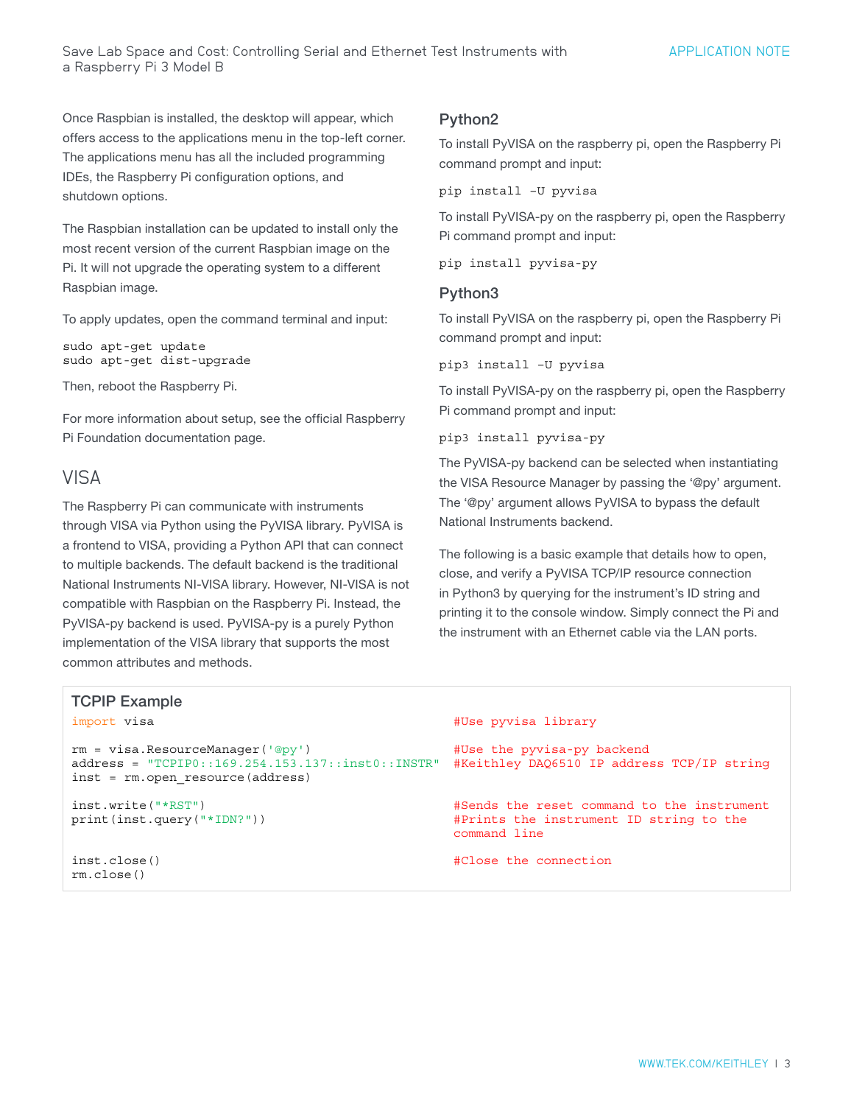Once Raspbian is installed, the desktop will appear, which offers access to the applications menu in the top-left corner. The applications menu has all the included programming IDEs, the Raspberry Pi configuration options, and shutdown options.

The Raspbian installation can be updated to install only the most recent version of the current Raspbian image on the Pi. It will not upgrade the operating system to a different Raspbian image.

To apply updates, open the command terminal and input:

```
sudo apt-get update
sudo apt-get dist-upgrade
```
Then, reboot the Raspberry Pi.

For more information about setup, see the official Raspberry Pi Foundation [documentation page](http://www.raspberrypi.org/documentation).

## VISA

The Raspberry Pi can communicate with instruments through VISA via Python using the PyVISA library. PyVISA is a frontend to VISA, providing a Python API that can connect to multiple backends. The default backend is the traditional National Instruments NI-VISA library. However, NI-VISA is not compatible with Raspbian on the Raspberry Pi. Instead, the PyVISA-py backend is used. PyVISA-py is a purely Python implementation of the VISA library that supports the most common attributes and methods.

#### TCPIP Example

```
rm = visa.ResourceManager('@py') #Use the pyvisa-py backend
address = "TCPIP0::169.254.153.137::inst0::INSTR" #Keithley DAQ6510 IP address TCP/IP string
inst = rm.open_resource(address)
```

```
rm.close()
```
#### Python2

To install PyVISA on the raspberry pi, open the Raspberry Pi command prompt and input:

pip install –U pyvisa

To install PyVISA-py on the raspberry pi, open the Raspberry Pi command prompt and input:

pip install pyvisa-py

#### Python3

To install PyVISA on the raspberry pi, open the Raspberry Pi command prompt and input:

pip3 install –U pyvisa

To install PyVISA-py on the raspberry pi, open the Raspberry Pi command prompt and input:

```
pip3 install pyvisa-py
```
The PyVISA-py backend can be selected when instantiating the VISA Resource Manager by passing the '@py' argument. The '@py' argument allows PyVISA to bypass the default National Instruments backend.

The following is a basic example that details how to open, close, and verify a PyVISA TCP/IP resource connection in Python3 by querying for the instrument's ID string and printing it to the console window. Simply connect the Pi and the instrument with an Ethernet cable via the LAN ports.

#### import visa  $\qquad$   $\qquad$   $\qquad$   $\qquad$   $\qquad$   $\qquad$   $\qquad$   $\qquad$   $\qquad$   $\qquad$   $\qquad$   $\qquad$   $\qquad$   $\qquad$   $\qquad$   $\qquad$   $\qquad$   $\qquad$   $\qquad$   $\qquad$   $\qquad$   $\qquad$   $\qquad$   $\qquad$   $\qquad$   $\qquad$   $\qquad$   $\qquad$   $\qquad$   $\qquad$   $\qquad$   $\qquad$   $\qquad$   $\qquad$   $\qquad$

inst.write("\*RST")  $\qquad$  #Sends the reset command to the instrument print(inst.query("\*IDN?"))  $\qquad$  #Prints the instrument ID string to the command line

inst.close()  $\# \text{Close the connection}$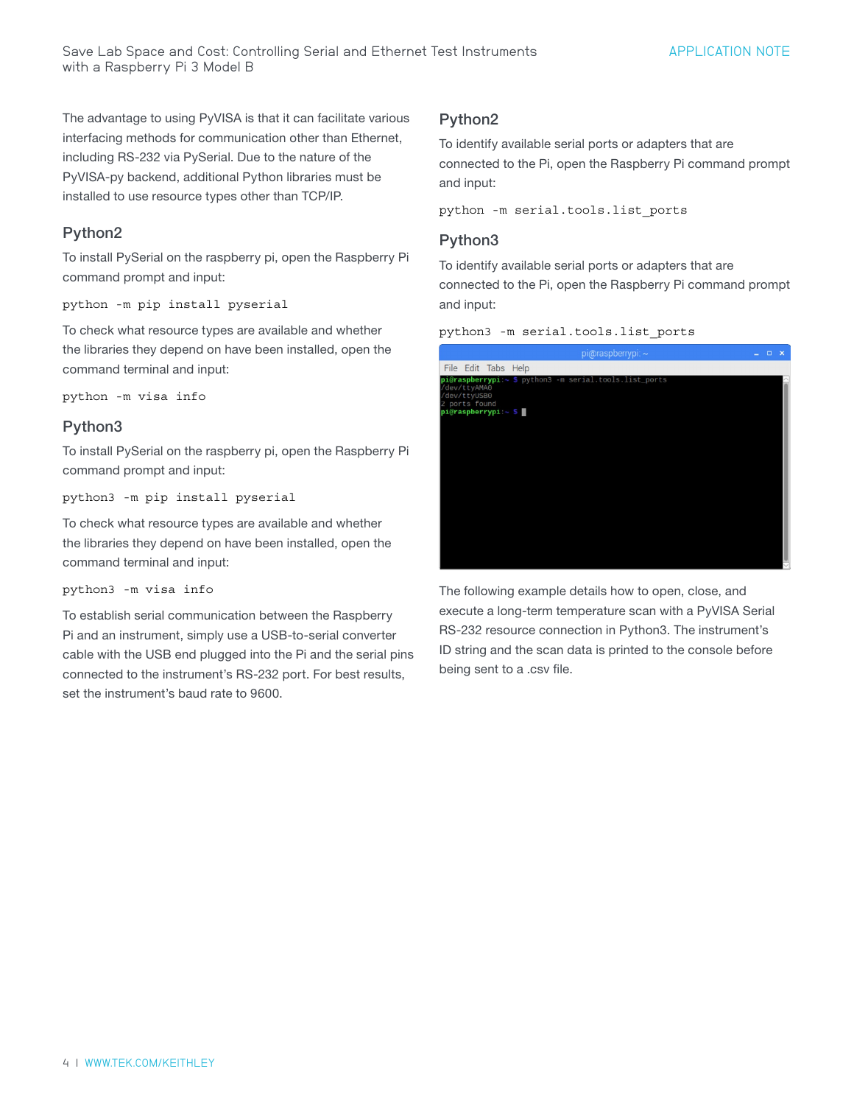Save Lab Space and Cost: Controlling Serial and Ethernet Test Instruments with a Raspberry Pi 3 Model B

The advantage to using PyVISA is that it can facilitate various interfacing methods for communication other than Ethernet, including RS-232 via PySerial. Due to the nature of the PyVISA-py backend, additional Python libraries must be installed to use resource types other than TCP/IP.

#### Python2

To install PySerial on the raspberry pi, open the Raspberry Pi command prompt and input:

python -m pip install pyserial

To check what resource types are available and whether the libraries they depend on have been installed, open the command terminal and input:

python -m visa info

#### Python3

To install PySerial on the raspberry pi, open the Raspberry Pi command prompt and input:

python3 -m pip install pyserial

To check what resource types are available and whether the libraries they depend on have been installed, open the command terminal and input:

python3 -m visa info

To establish serial communication between the Raspberry Pi and an instrument, simply use a USB-to-serial converter cable with the USB end plugged into the Pi and the serial pins connected to the instrument's RS-232 port. For best results, set the instrument's baud rate to 9600.

#### Python2

To identify available serial ports or adapters that are connected to the Pi, open the Raspberry Pi command prompt and input:

python -m serial.tools.list\_ports

#### Python3

To identify available serial ports or adapters that are connected to the Pi, open the Raspberry Pi command prompt and input:

python3 -m serial.tools.list\_ports



The following example details how to open, close, and execute a long-term temperature scan with a PyVISA Serial RS-232 resource connection in Python3. The instrument's ID string and the scan data is printed to the console before being sent to a .csv file.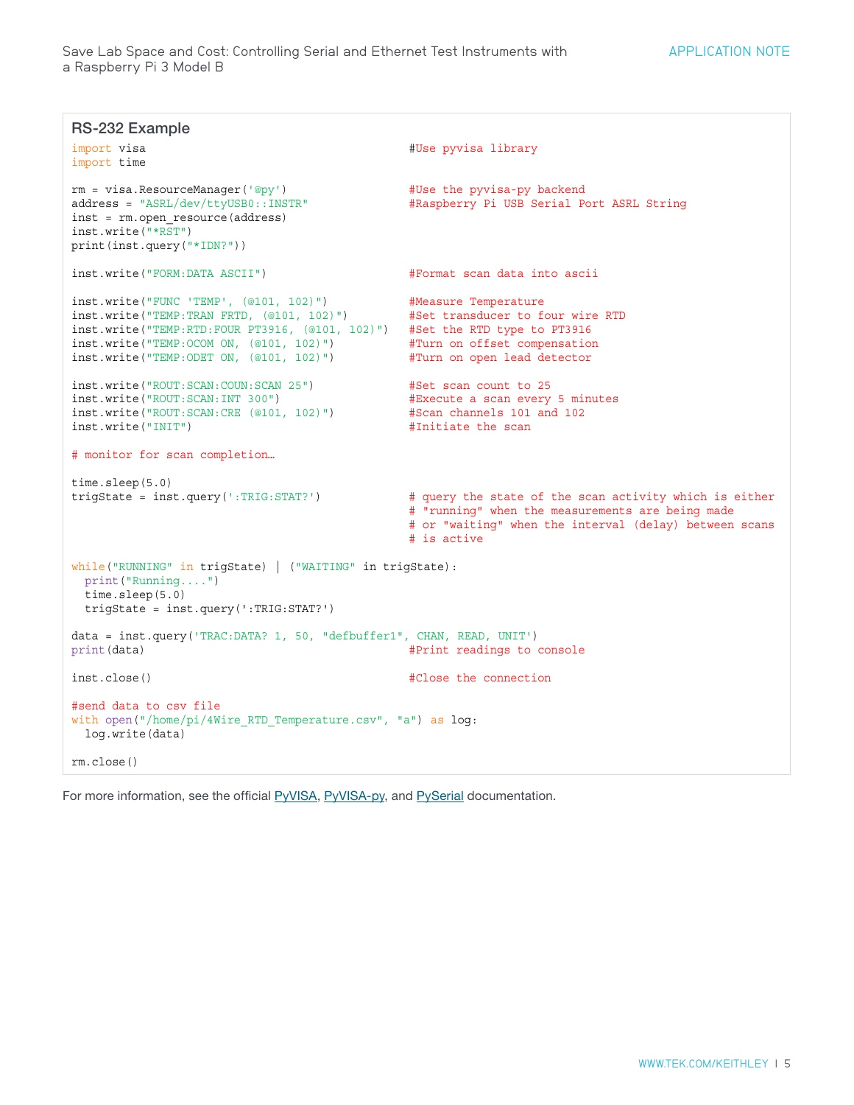```
RS-232 Example
import visa \ddot{ } + \ddot{ } + \ddot{ } + \ddot{ } + \ddot{ } + \ddot{ } + \ddot{ } + \ddot{ } + \ddot{ } + \ddot{ } + \ddot{ } + \ddot{ } + \ddot{ } + \ddot{ } + \ddot{ } + \ddot{ } + \ddot{ } + \ddot{ } + \ddot{ } + \ddot{ } + \ddot{ } + 
import time
rm = visa.ResourceManager('@py') #Use the pyvisa-py backend
address = "ASRL/dev/ttyUSB0::INSTR" #Raspberry Pi USB Serial Port ASRL String
inst = rm.open_resource(address)
inst.write("*RST")
print(inst.query("*IDN?"))
inst.write("FORM:DATA ASCII") #Format scan data into ascii
inst.write("FUNC 'TEMP', (@101, 102)") #Measure Temperature
inst.write("TEMP:TRAN FRTD, (@101, 102)") #Set transducer to four wire RTD
inst.write("TEMP:RTD:FOUR PT3916, (@101, 102)") #Set the RTD type to PT3916
inst.write("TEMP: OCOM ON, (@101, 102)") #Turn on offset compensation
inst.write("TEMP:ODET ON, (@101, 102)") #Turn on open lead detector
inst.write("ROUT:SCAN:COUN:SCAN 25") #Set scan count to 25
                                                 #Execute a scan every 5 minutes<br>#Scan channels 101 and 102
inst.write("ROUT:SCAN:CRE (@101, 102)")inst.write("INIT") \qquad #Initiate the scan
# monitor for scan completion…
time.sleep(5.0)
trigState = inst.query(':TRIG:STAT?') # query the state of the scan activity which is either
                                                   # "running" when the measurements are being made
                                                   # or "waiting" when the interval (delay) between scans
                                                   # is active
while("RUNNING" in trigState) | ("WAITING" in trigState):
  print("Running....")
  time.sleep(5.0)
  trigState = inst.query(':TRIG:STAT?')
data = inst.query('TRAC:DATA? 1, 50, "defbuffer1", CHAN, READ, UNIT')
print (data) \text{Hint} and \text{Hint} readings to console
inst.close() \# \text{Close} the connection
#send data to csv file
with open("/home/pi/4Wire_RTD_Temperature.csv", "a") as log:
  log.write(data)
rm.close()
```
For more information, see the official [PyVISA](https://pyvisa.readthedocs.io/en/stable/index.html), [PyVISA-py](https://pyvisa-py.readthedocs.io/en/latest/), and [PySerial](https://pyserial.readthedocs.io/en/latest/pyserial.html) documentation.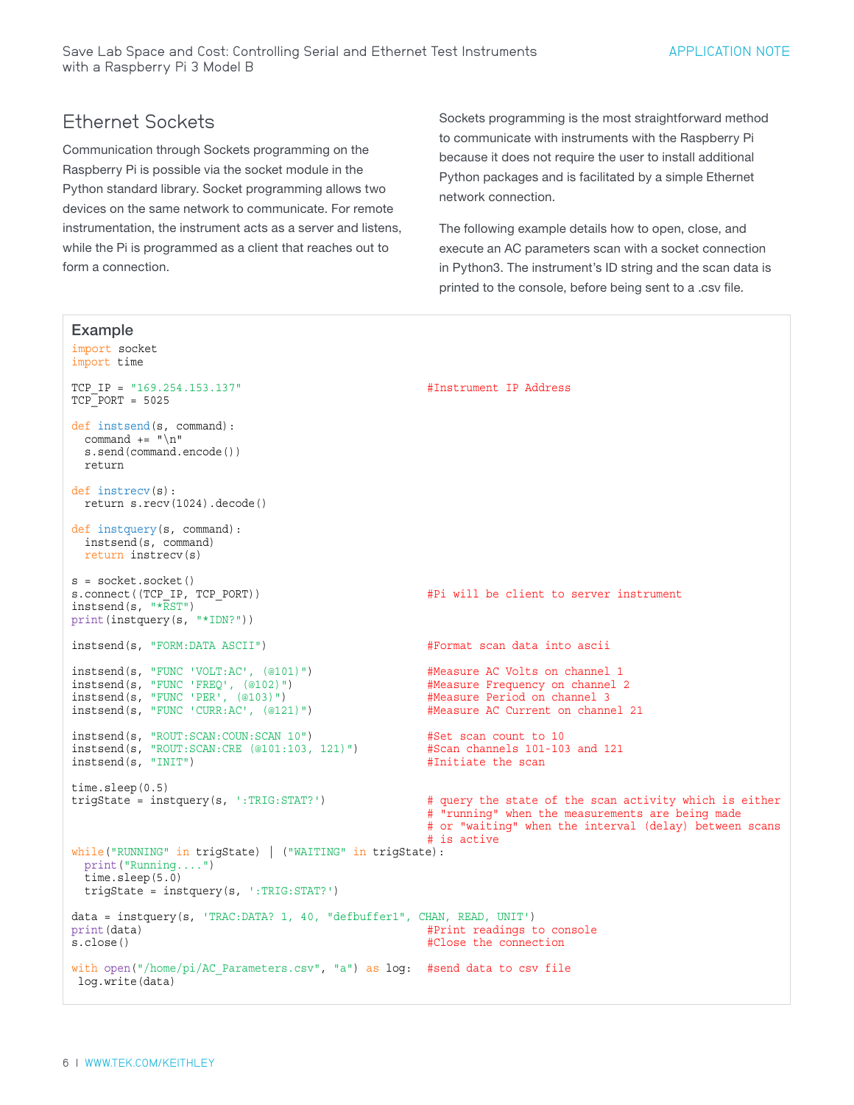## Ethernet Sockets

Communication through Sockets programming on the Raspberry Pi is possible via the socket module in the Python standard library. Socket programming allows two devices on the same network to communicate. For remote instrumentation, the instrument acts as a server and listens, while the Pi is programmed as a client that reaches out to form a connection.

Sockets programming is the most straightforward method to communicate with instruments with the Raspberry Pi because it does not require the user to install additional Python packages and is facilitated by a simple Ethernet network connection.

The following example details how to open, close, and execute an AC parameters scan with a socket connection in Python3. The instrument's ID string and the scan data is printed to the console, before being sent to a .csv file.

| <b>Example</b><br>import socket<br>import time                                                                                                              |                                                                                                                                                                                     |
|-------------------------------------------------------------------------------------------------------------------------------------------------------------|-------------------------------------------------------------------------------------------------------------------------------------------------------------------------------------|
| TCP IP = $"169.254.153.137"$<br>$TCP$ PORT = 5025                                                                                                           | #Instrument IP Address                                                                                                                                                              |
| $def$ instsend( $s$ , command):<br>command $+=$ " $\n\times$ "<br>s.send(command.encode())<br>return                                                        |                                                                                                                                                                                     |
| $def$ instrecy $(s)$ :<br>return s.recv(1024).decode()                                                                                                      |                                                                                                                                                                                     |
| $def$ instquery $(s,$ command):<br>instead(s, command)<br>$return$ instrecy(s)                                                                              |                                                                                                                                                                                     |
| $s = socket.sockets()$<br>s.connect((TCP_IP, TCP_PORT))<br>instsend(s, $"*RST"$ )<br>$print(instquery(s, "*IDN?"))$                                         | #Pi will be client to server instrument                                                                                                                                             |
| instsend(s, "FORM: DATA ASCII")                                                                                                                             | #Format scan data into ascii                                                                                                                                                        |
| $instsend(s, "FUNC 'VOLT: AC', (@101)")$<br>instsend(s, "FUNC 'FREQ', (@102)")<br>instsend(s, "FUNC 'PER', (@103)")<br>instead(s, "FUNC 'CURR:AC', (@121)") | #Measure AC Volts on channel 1<br>#Measure Frequency on channel 2<br>#Measure Period on channel 3<br>#Measure AC Current on channel 21                                              |
| instsend(s, "ROUT: SCAN: COUN: SCAN 10")<br>$instsend(s, "ROUT:SCAN:CRE (@101:103, 121)")$<br>instsend(s, "INIT")                                           | #Set scan count to 10<br>#Scan channels 101-103 and 121<br>#Initiate the scan                                                                                                       |
| time.sleep(0.5)<br>trigState = $instquery(s, ':\text{TRIG:STAT?'})$                                                                                         | # query the state of the scan activity which is either<br># "running" when the measurements are being made<br># or "waiting" when the interval (delay) between scans<br># is active |
| while("RUNNING" in trigState)   ("WAITING" in trigState):<br>print("Running")<br>time.sleep(5.0)<br>trigState = $instquery(s, ' : TRIG: STATE?)$            |                                                                                                                                                                                     |
| $data = instquery(s, 'TRAC:DATA? 1, 40, "defbuffer1", CHAN, READ, UNIT')$<br>print (data)<br>s.close()                                                      | #Print readings to console<br>#Close the connection                                                                                                                                 |
| with open("/home/pi/AC Parameters.csv", "a") as log: #send data to csv file<br>log.write(data)                                                              |                                                                                                                                                                                     |